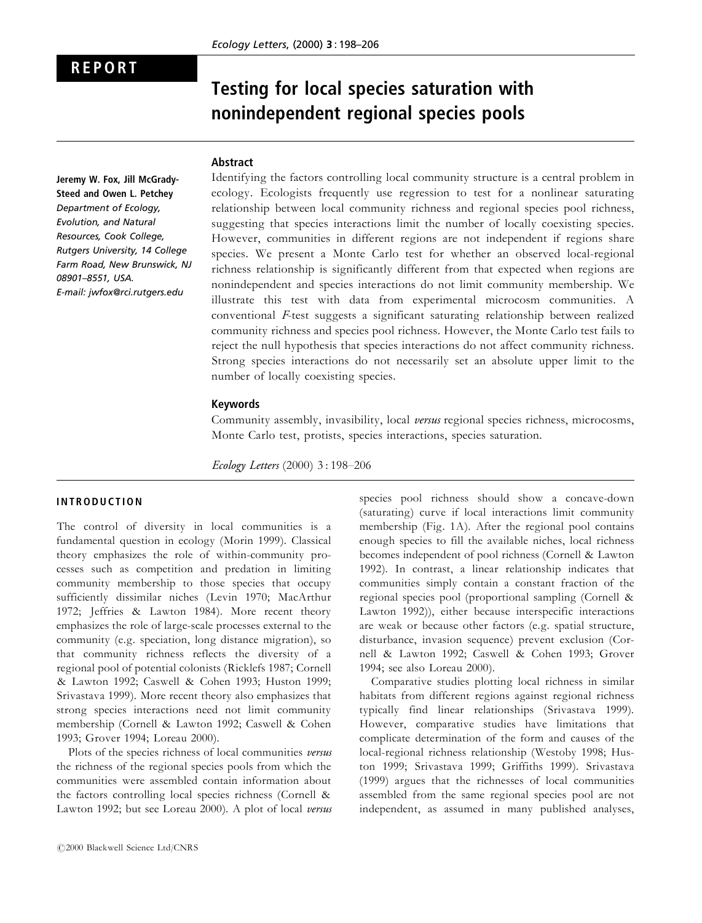# **REPORT**

# Testing for local species saturation with nonindependent regional species pools

# **Abstract**

Jeremy W. Fox, Jill McGrady-Steed and Owen L. Petchey Department of Ecology, Evolution, and Natural Resources, Cook College, Rutgers University, 14 College Farm Road, New Brunswick, NJ 08901-8551, USA. E-mail: jwfox@rci.rutgers.edu

Identifying the factors controlling local community structure is a central problem in ecology. Ecologists frequently use regression to test for a nonlinear saturating relationship between local community richness and regional species pool richness, suggesting that species interactions limit the number of locally coexisting species. However, communities in different regions are not independent if regions share species. We present a Monte Carlo test for whether an observed local-regional richness relationship is significantly different from that expected when regions are nonindependent and species interactions do not limit community membership. We illustrate this test with data from experimental microcosm communities. A conventional F-test suggests a significant saturating relationship between realized community richness and species pool richness. However, the Monte Carlo test fails to reject the null hypothesis that species interactions do not affect community richness. Strong species interactions do not necessarily set an absolute upper limit to the number of locally coexisting species.

# **Keywords**

Community assembly, invasibility, local versus regional species richness, microcosms, Monte Carlo test, protists, species interactions, species saturation.

Ecology Letters (2000) 3:198-206

# **INTRODUCTION**

The control of diversity in local communities is a fundamental question in ecology (Morin 1999). Classical theory emphasizes the role of within-community processes such as competition and predation in limiting community membership to those species that occupy sufficiently dissimilar niches (Levin 1970; MacArthur 1972; Jeffries & Lawton 1984). More recent theory emphasizes the role of large-scale processes external to the community (e.g. speciation, long distance migration), so that community richness reflects the diversity of a regional pool of potential colonists (Ricklefs 1987; Cornell & Lawton 1992; Caswell & Cohen 1993; Huston 1999; Srivastava 1999). More recent theory also emphasizes that strong species interactions need not limit community membership (Cornell & Lawton 1992; Caswell & Cohen 1993; Grover 1994; Loreau 2000).

Plots of the species richness of local communities versus the richness of the regional species pools from which the communities were assembled contain information about the factors controlling local species richness (Cornell & Lawton 1992; but see Loreau 2000). A plot of local versus

species pool richness should show a concave-down (saturating) curve if local interactions limit community membership (Fig. 1A). After the regional pool contains enough species to fill the available niches, local richness becomes independent of pool richness (Cornell & Lawton 1992). In contrast, a linear relationship indicates that communities simply contain a constant fraction of the regional species pool (proportional sampling (Cornell & Lawton 1992)), either because interspecific interactions are weak or because other factors (e.g. spatial structure, disturbance, invasion sequence) prevent exclusion (Cornell & Lawton 1992; Caswell & Cohen 1993; Grover 1994; see also Loreau 2000).

Comparative studies plotting local richness in similar habitats from different regions against regional richness typically find linear relationships (Srivastava 1999). However, comparative studies have limitations that complicate determination of the form and causes of the local-regional richness relationship (Westoby 1998; Huston 1999; Srivastava 1999; Griffiths 1999). Srivastava (1999) argues that the richnesses of local communities assembled from the same regional species pool are not independent, as assumed in many published analyses,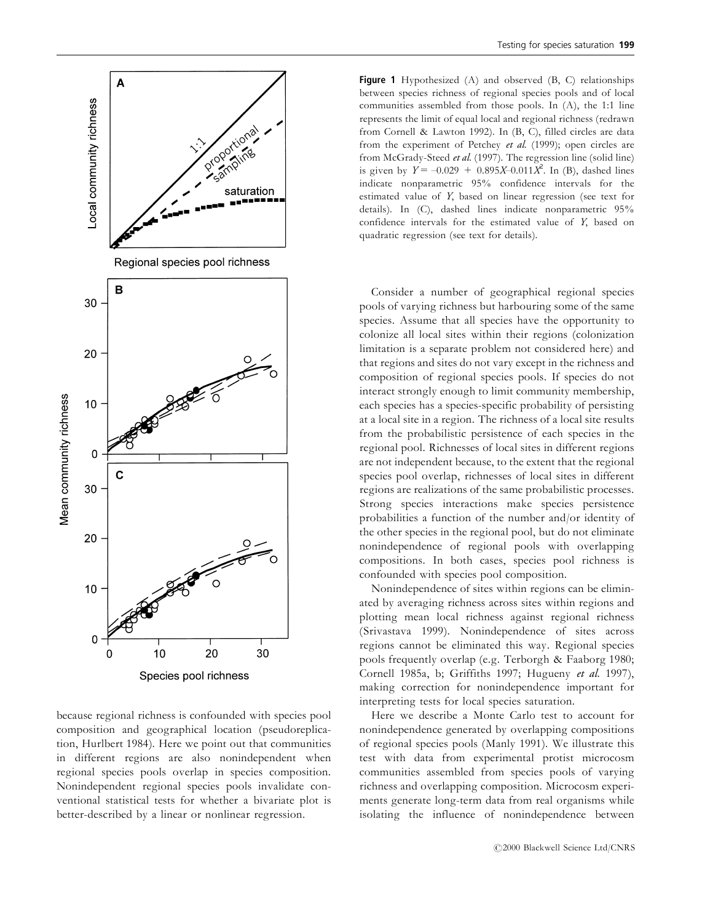

because regional richness is confounded with species pool composition and geographical location (pseudoreplication, Hurlbert 1984). Here we point out that communities in different regions are also nonindependent when regional species pools overlap in species composition. Nonindependent regional species pools invalidate conventional statistical tests for whether a bivariate plot is better-described by a linear or nonlinear regression.

Figure 1 Hypothesized (A) and observed (B, C) relationships between species richness of regional species pools and of local communities assembled from those pools. In (A), the 1:1 line represents the limit of equal local and regional richness (redrawn from Cornell & Lawton 1992). In (B, C), filled circles are data from the experiment of Petchey et al. (1999); open circles are from McGrady-Steed et al. (1997). The regression line (solid line) is given by  $Y = -0.029 + 0.895X - 0.011X^2$ . In (B), dashed lines indicate nonparametric 95% confidence intervals for the estimated value of Y, based on linear regression (see text for details). In (C), dashed lines indicate nonparametric 95% confidence intervals for the estimated value of Y, based on quadratic regression (see text for details).

Consider a number of geographical regional species pools of varying richness but harbouring some of the same species. Assume that all species have the opportunity to colonize all local sites within their regions (colonization limitation is a separate problem not considered here) and that regions and sites do not vary except in the richness and composition of regional species pools. If species do not interact strongly enough to limit community membership, each species has a species-specific probability of persisting at a local site in a region. The richness of a local site results from the probabilistic persistence of each species in the regional pool. Richnesses of local sites in different regions are not independent because, to the extent that the regional species pool overlap, richnesses of local sites in different regions are realizations of the same probabilistic processes. Strong species interactions make species persistence probabilities a function of the number and/or identity of the other species in the regional pool, but do not eliminate nonindependence of regional pools with overlapping compositions. In both cases, species pool richness is confounded with species pool composition.

Nonindependence of sites within regions can be eliminated by averaging richness across sites within regions and plotting mean local richness against regional richness (Srivastava 1999). Nonindependence of sites across regions cannot be eliminated this way. Regional species pools frequently overlap (e.g. Terborgh & Faaborg 1980; Cornell 1985a, b; Griffiths 1997; Hugueny et al. 1997), making correction for nonindependence important for interpreting tests for local species saturation.

Here we describe a Monte Carlo test to account for nonindependence generated by overlapping compositions of regional species pools (Manly 1991). We illustrate this test with data from experimental protist microcosm communities assembled from species pools of varying richness and overlapping composition. Microcosm experiments generate long-term data from real organisms while isolating the influence of nonindependence between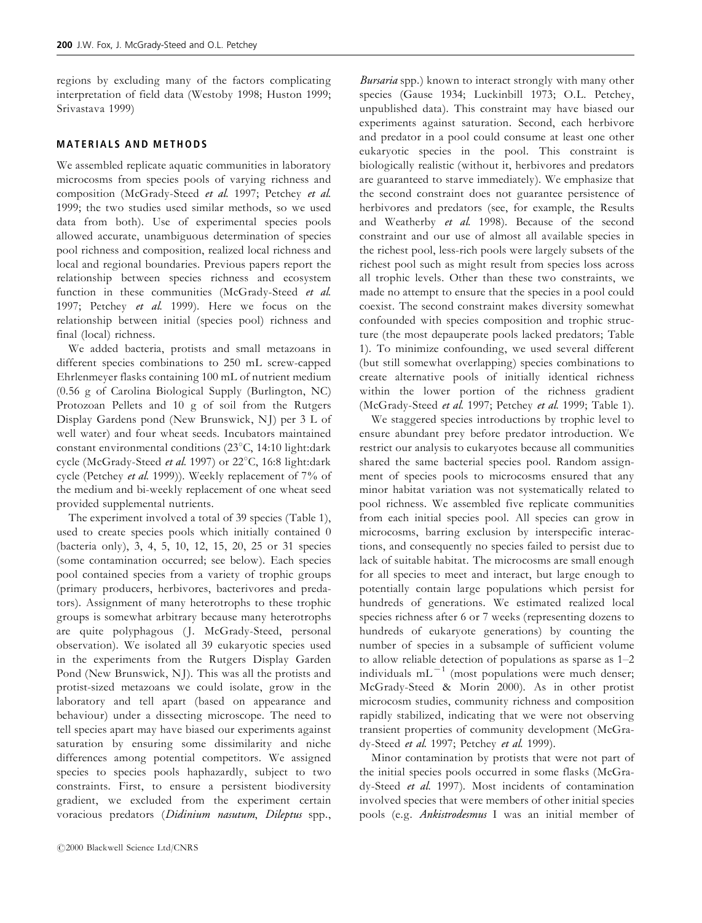regions by excluding many of the factors complicating interpretation of field data (Westoby 1998; Huston 1999; Srivastava 1999)

#### **MATERIALS AND METHODS**

We assembled replicate aquatic communities in laboratory microcosms from species pools of varying richness and composition (McGrady-Steed et al. 1997; Petchey et al. 1999; the two studies used similar methods, so we used data from both). Use of experimental species pools allowed accurate, unambiguous determination of species pool richness and composition, realized local richness and local and regional boundaries. Previous papers report the relationship between species richness and ecosystem function in these communities (McGrady-Steed et al. 1997; Petchey et al. 1999). Here we focus on the relationship between initial (species pool) richness and final (local) richness.

We added bacteria, protists and small metazoans in different species combinations to 250 mL screw-capped Ehrlenmeyer flasks containing 100 mL of nutrient medium (0.56 g of Carolina Biological Supply (Burlington, NC) Protozoan Pellets and 10 g of soil from the Rutgers Display Gardens pond (New Brunswick, NJ) per 3 L of well water) and four wheat seeds. Incubators maintained constant environmental conditions (23°C, 14:10 light:dark cycle (McGrady-Steed et al. 1997) or 22°C, 16:8 light:dark cycle (Petchey et al. 1999)). Weekly replacement of 7% of the medium and bi-weekly replacement of one wheat seed provided supplemental nutrients.

The experiment involved a total of 39 species (Table 1), used to create species pools which initially contained 0 (bacteria only), 3, 4, 5, 10, 12, 15, 20, 25 or 31 species (some contamination occurred; see below). Each species pool contained species from a variety of trophic groups (primary producers, herbivores, bacterivores and predators). Assignment of many heterotrophs to these trophic groups is somewhat arbitrary because many heterotrophs are quite polyphagous (J. McGrady-Steed, personal observation). We isolated all 39 eukaryotic species used in the experiments from the Rutgers Display Garden Pond (New Brunswick, NJ). This was all the protists and protist-sized metazoans we could isolate, grow in the laboratory and tell apart (based on appearance and behaviour) under a dissecting microscope. The need to tell species apart may have biased our experiments against saturation by ensuring some dissimilarity and niche differences among potential competitors. We assigned species to species pools haphazardly, subject to two constraints. First, to ensure a persistent biodiversity gradient, we excluded from the experiment certain voracious predators (Didinium nasutum, Dileptus spp.,

Bursaria spp.) known to interact strongly with many other species (Gause 1934; Luckinbill 1973; O.L. Petchey, unpublished data). This constraint may have biased our experiments against saturation. Second, each herbivore and predator in a pool could consume at least one other eukaryotic species in the pool. This constraint is biologically realistic (without it, herbivores and predators are guaranteed to starve immediately). We emphasize that the second constraint does not guarantee persistence of herbivores and predators (see, for example, the Results and Weatherby et al. 1998). Because of the second constraint and our use of almost all available species in the richest pool, less-rich pools were largely subsets of the richest pool such as might result from species loss across all trophic levels. Other than these two constraints, we made no attempt to ensure that the species in a pool could coexist. The second constraint makes diversity somewhat confounded with species composition and trophic structure (the most depauperate pools lacked predators; Table 1). To minimize confounding, we used several different (but still somewhat overlapping) species combinations to create alternative pools of initially identical richness within the lower portion of the richness gradient (McGrady-Steed et al. 1997; Petchey et al. 1999; Table 1).

We staggered species introductions by trophic level to ensure abundant prey before predator introduction. We restrict our analysis to eukaryotes because all communities shared the same bacterial species pool. Random assignment of species pools to microcosms ensured that any minor habitat variation was not systematically related to pool richness. We assembled five replicate communities from each initial species pool. All species can grow in microcosms, barring exclusion by interspecific interactions, and consequently no species failed to persist due to lack of suitable habitat. The microcosms are small enough for all species to meet and interact, but large enough to potentially contain large populations which persist for hundreds of generations. We estimated realized local species richness after 6 or 7 weeks (representing dozens to hundreds of eukaryote generations) by counting the number of species in a subsample of sufficient volume to allow reliable detection of populations as sparse as  $1-2$ individuals  $mL^{-1}$  (most populations were much denser; McGrady-Steed & Morin 2000). As in other protist microcosm studies, community richness and composition rapidly stabilized, indicating that we were not observing transient properties of community development (McGrady-Steed et al. 1997; Petchey et al. 1999).

Minor contamination by protists that were not part of the initial species pools occurred in some flasks (McGrady-Steed et al. 1997). Most incidents of contamination involved species that were members of other initial species pools (e.g. Ankistrodesmus I was an initial member of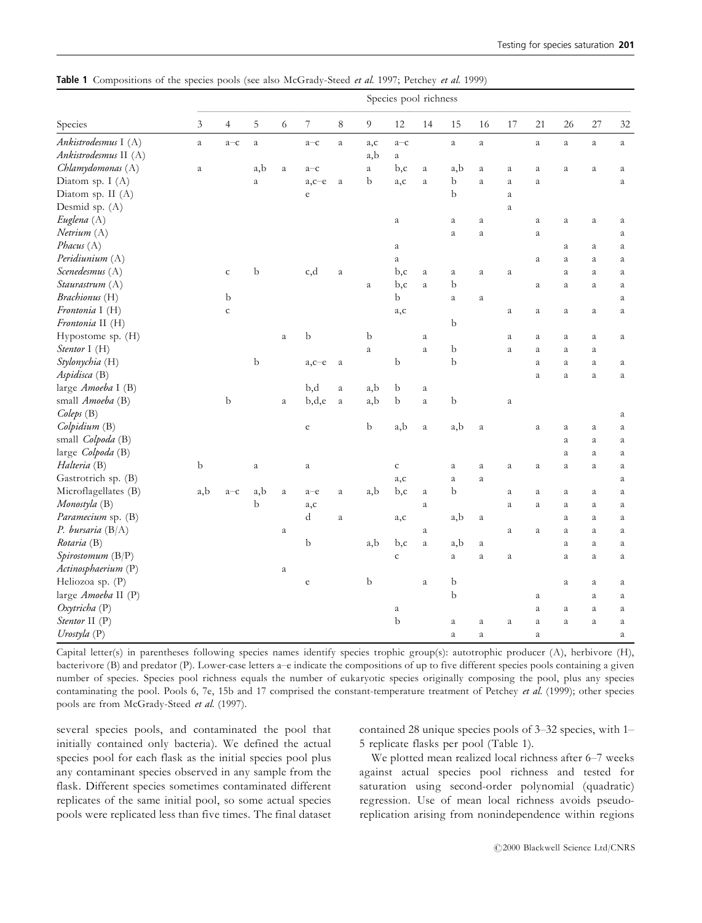| Species               | Species pool richness |                            |              |                |             |                |                |               |              |                |              |                |                |                  |                |              |
|-----------------------|-----------------------|----------------------------|--------------|----------------|-------------|----------------|----------------|---------------|--------------|----------------|--------------|----------------|----------------|------------------|----------------|--------------|
|                       | 3                     | $\overline{4}$             | 5            | 6              | 7           | 8              | 9              | 12            | 14           | 15             | 16           | 17             | 21             | 26               | 27             | 32           |
| Ankistrodesmus I (A)  | $\rm{a}$              | $\mbox{a}\mbox{-}\mbox{c}$ | $\it a$      |                | $a-c$       | $\rm{a}$       | $_{\rm a,c}$   | $a-c$         |              | $\it a$        | $\rm{a}$     |                | $\it a$        | $\it a$          | $\it a$        | $\rm{a}$     |
| Ankistrodesmus II (A) |                       |                            |              |                |             |                | a,b            | $\it a$       |              |                |              |                |                |                  |                |              |
| Chlamydomonas (A)     | $\it a$               |                            | a, b         | $\mathfrak{a}$ | $a-c$       |                | $\rm{a}$       | b,c           | $\rm{a}$     | a,b            | $\rm{a}$     | $\it a$        | a              | $\it a$          | $\it a$        | $\rm{a}$     |
| Diatom sp. I (A)      |                       |                            | $\mathbf{a}$ |                | $a, c-e$    | a              | b              | a,c           | $\rm{a}$     | $\mathbf b$    | $\mathbf{a}$ | $\mathfrak{a}$ | $\mathbf{a}$   |                  |                | $\mathbf{a}$ |
| Diatom sp. II (A)     |                       |                            |              |                | e           |                |                |               |              | $\mathbf b$    |              | $\it a$        |                |                  |                |              |
| Desmid sp. (A)        |                       |                            |              |                |             |                |                |               |              |                |              | $\mathfrak{a}$ |                |                  |                |              |
| Euglena $(A)$         |                       |                            |              |                |             |                |                | a             |              | $\it a$        | $\it a$      |                | a              | $\rm{a}$         | $\rm{a}$       | $\it a$      |
| Netrium (A)           |                       |                            |              |                |             |                |                |               |              | $\mathfrak{a}$ | $\mathbf{a}$ |                | $\mathbf{a}$   |                  |                | $\mathbf{a}$ |
| Phacus $(A)$          |                       |                            |              |                |             |                |                | а             |              |                |              |                |                | $\boldsymbol{a}$ | $\it a$        | a            |
| Peridiunium (A)       |                       |                            |              |                |             |                |                | $\mathfrak a$ |              |                |              |                | $\mathbf{a}$   | $\rm{a}$         | $\mathbf{a}$   | $\mathbf{a}$ |
| Scenedesmus $(A)$     |                       | $\mathbf c$                | b            |                | c,d         | $\it a$        |                | b,c           | $\rm{a}$     | $\it a$        | a            | $\it a$        |                | a                | $\mathfrak{a}$ | a            |
| Staurastrum (A)       |                       |                            |              |                |             |                | $\mathfrak{a}$ | b,c           | $\rm{a}$     | b              |              |                | $\mathfrak{a}$ | $\mathbf{a}$     | $\mathfrak{a}$ | a            |
| Brachionus (H)        |                       | b                          |              |                |             |                |                | $\mathbf b$   |              | $\it a$        | $\rm{a}$     |                |                |                  |                | $\rm{a}$     |
| Frontonia I (H)       |                       | $\mathsf{c}$               |              |                |             |                |                | a,c           |              |                |              | $\it a$        | $\mathbf{a}$   | $\it a$          | $\it a$        | $\mathbf{a}$ |
| Frontonia II (H)      |                       |                            |              |                |             |                |                |               |              | $\mathbf b$    |              |                |                |                  |                |              |
| Hypostome sp. (H)     |                       |                            |              | a              | $\mathbf b$ |                | $\mathbf b$    |               | $\mathbf{a}$ |                |              | $\mathbf{a}$   | $\mathbf{a}$   | $\rm{a}$         | $\it a$        | $\it a$      |
| Stentor I (H)         |                       |                            |              |                |             |                | $\it a$        |               | $\rm{a}$     | b              |              | $\rm{a}$       | $\rm{a}$       | $\it a$          | $\mathfrak{a}$ |              |
| Stylonychia (H)       |                       |                            | $\mathbf b$  |                | $a, c-e$    | $\mathfrak{a}$ |                | $\mathbf b$   |              | $\mathbf b$    |              |                | $\mathbf{a}$   | $\mathbf{a}$     | a              | $\mathbf{a}$ |
| Aspidisca (B)         |                       |                            |              |                |             |                |                |               |              |                |              |                | a              | $\it a$          | $\mathfrak{a}$ | $\rm{a}$     |
| large Amoeba I (B)    |                       |                            |              |                | b,d         | a              | a,b            | b             | $\mathbf{a}$ |                |              |                |                |                  |                |              |
| small Amoeba (B)      |                       | $\mathbf b$                |              | $\rm{a}$       | b,d,e       | $\mathfrak a$  | a,b            | b             | $\rm{a}$     | $\mathbf b$    |              | $\rm{a}$       |                |                  |                |              |
| Coleps (B)            |                       |                            |              |                |             |                |                |               |              |                |              |                |                |                  |                | $\it a$      |
| Colpidium (B)         |                       |                            |              |                | $\rm e$     |                | b              | a,b           | $\rm{a}$     | a,b            | $\it a$      |                | $\rm{a}$       | $\it a$          | $\rm{a}$       | $\it a$      |
| small Colpoda (B)     |                       |                            |              |                |             |                |                |               |              |                |              |                |                | $\rm{a}$         | a              | $\mathbf{a}$ |
| large Colpoda (B)     |                       |                            |              |                |             |                |                |               |              |                |              |                |                | $\rm{a}$         | $\mathfrak{a}$ | a            |
| Halteria (B)          | $\mathbf b$           |                            | $\mathbf{a}$ |                | $\it a$     |                |                | $\mathsf{C}$  |              | $\mathfrak{a}$ | a            | $\mathbf{a}$   | $\mathfrak{a}$ | $\rm{a}$         | $\mathfrak{a}$ | a            |
| Gastrotrich sp. (B)   |                       |                            |              |                |             |                |                | a,c           |              | $\it a$        | $\rm{a}$     |                |                |                  |                | a            |
| Microflagellates (B)  | a, b                  | $a-c$                      | a,b          | a              | $a$ - $e$   | a              | a,b            | b,c           | $\mathbf{a}$ | b              |              | $\mathbf{a}$   | a              | $\rm{a}$         | $\mathbf{a}$   | a            |
| Monostyla (B)         |                       |                            | $\mathbf b$  |                | a,c         |                |                |               | a            |                |              | $\it a$        | a              | $\rm{a}$         | $\it a$        | a            |
| Paramecium sp. (B)    |                       |                            |              |                | d           | $\mathbf{a}$   |                | a,c           |              | a,b            | $\it a$      |                |                | $\rm{a}$         | $\mathfrak{a}$ | $\mathbf{a}$ |
| P. bursaria $(B A)$   |                       |                            |              | $\mathfrak{a}$ |             |                |                |               | $\rm{a}$     |                |              | $\rm{a}$       | a              | $\rm{a}$         | $\it a$        | a            |
| Rotaria (B)           |                       |                            |              |                | $\mathbf b$ |                | a,b            | b,c           | $\mathbf{a}$ | a,b            | a            |                |                | $\rm{a}$         | $\mathfrak{a}$ | $\mathbf{a}$ |
| Spirostomum (B/P)     |                       |                            |              |                |             |                |                | $\mathbf{C}$  |              | $\it a$        | $\rm{a}$     | $\rm{a}$       |                | $\it a$          | $\it a$        | $\it a$      |
| Actinosphaerium (P)   |                       |                            |              | a              |             |                |                |               |              |                |              |                |                |                  |                |              |
| Heliozoa sp. (P)      |                       |                            |              |                |             |                | b              |               | $\mathbf{a}$ | $\mathbf b$    |              |                |                |                  |                |              |
|                       |                       |                            |              |                | e           |                |                |               |              |                |              |                |                | $\it a$          | $\it a$        | a            |
| large Amoeba II (P)   |                       |                            |              |                |             |                |                |               |              | $\mathbf b$    |              |                | $\rm{a}$       |                  | $\it a$        | $\it a$      |
| Oxytricha (P)         |                       |                            |              |                |             |                |                | a             |              |                |              |                | a              | $\it a$          | $\it a$        | a            |
| Stentor II (P)        |                       |                            |              |                |             |                |                | $\mathbf b$   |              | $\rm{a}$       | $\rm{a}$     | $\it a$        | a              | $\rm{a}$         | $\it a$        | $\mathbf{a}$ |
| Urostyla (P)          |                       |                            |              |                |             |                |                |               |              | $\mathbf{a}$   | $\rm{a}$     |                | a              |                  |                | $\rm{a}$     |

Table 1 Compositions of the species pools (see also McGrady-Steed et al. 1997; Petchey et al. 1999)

Capital letter(s) in parentheses following species names identify species trophic group(s): autotrophic producer (A), herbivore (H), bacterivore (B) and predator (P). Lower-case letters a-e indicate the compositions of up to five different species pools containing a given number of species. Species pool richness equals the number of eukaryotic species originally composing the pool, plus any species contaminating the pool. Pools 6, 7e, 15b and 17 comprised the constant-temperature treatment of Petchey et al. (1999); other species pools are from McGrady-Steed et al. (1997).

several species pools, and contaminated the pool that initially contained only bacteria). We defined the actual species pool for each flask as the initial species pool plus any contaminant species observed in any sample from the flask. Different species sometimes contaminated different replicates of the same initial pool, so some actual species pools were replicated less than five times. The final dataset

contained 28 unique species pools of  $3-32$  species, with 1-5 replicate flasks per pool (Table 1).

We plotted mean realized local richness after 6-7 weeks against actual species pool richness and tested for saturation using second-order polynomial (quadratic) regression. Use of mean local richness avoids pseudoreplication arising from nonindependence within regions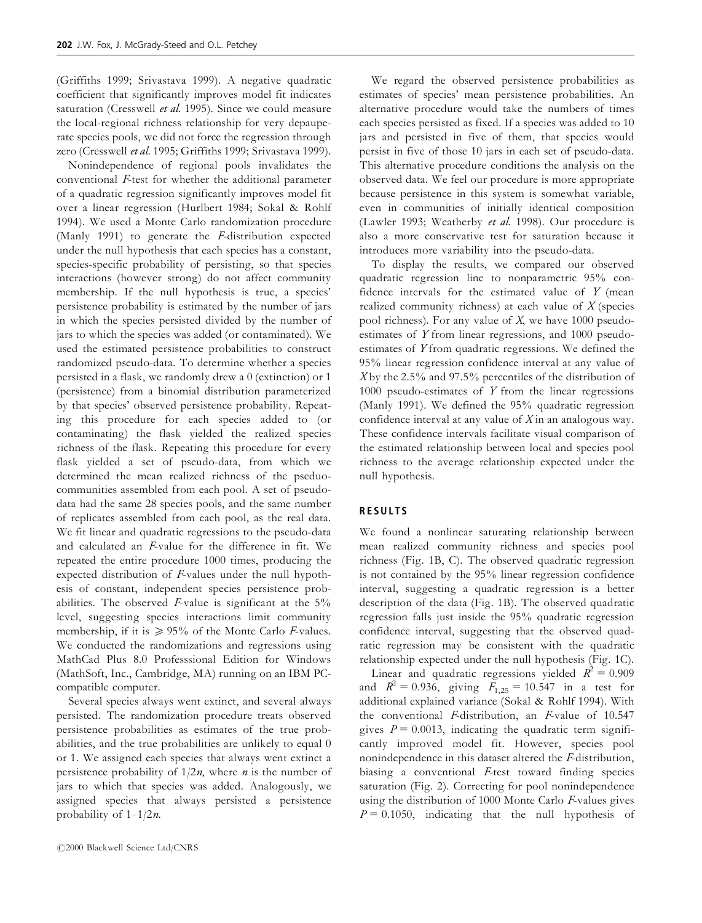(Griffiths 1999; Srivastava 1999). A negative quadratic coefficient that significantly improves model fit indicates saturation (Cresswell et al. 1995). Since we could measure the local-regional richness relationship for very depauperate species pools, we did not force the regression through zero (Cresswell et al. 1995; Griffiths 1999; Srivastava 1999).

Nonindependence of regional pools invalidates the conventional *F*-test for whether the additional parameter of a quadratic regression significantly improves model fit over a linear regression (Hurlbert 1984; Sokal & Rohlf 1994). We used a Monte Carlo randomization procedure (Manly 1991) to generate the *F*-distribution expected under the null hypothesis that each species has a constant, species-specific probability of persisting, so that species interactions (however strong) do not affect community membership. If the null hypothesis is true, a species' persistence probability is estimated by the number of jars in which the species persisted divided by the number of jars to which the species was added (or contaminated). We used the estimated persistence probabilities to construct randomized pseudo-data. To determine whether a species persisted in a flask, we randomly drew a 0 (extinction) or 1 (persistence) from a binomial distribution parameterized by that species' observed persistence probability. Repeating this procedure for each species added to (or contaminating) the flask yielded the realized species richness of the flask. Repeating this procedure for every flask yielded a set of pseudo-data, from which we determined the mean realized richness of the pseduocommunities assembled from each pool. A set of pseudodata had the same 28 species pools, and the same number of replicates assembled from each pool, as the real data. We fit linear and quadratic regressions to the pseudo-data and calculated an *F*-value for the difference in fit. We repeated the entire procedure 1000 times, producing the expected distribution of  $F$ -values under the null hypothesis of constant, independent species persistence probabilities. The observed  $F$ -value is significant at the  $5\%$ level, suggesting species interactions limit community membership, if it is  $\geqslant$  95% of the Monte Carlo *F*-values. We conducted the randomizations and regressions using MathCad Plus 8.0 Professsional Edition for Windows (MathSoft, Inc., Cambridge, MA) running on an IBM PCcompatible computer.

Several species always went extinct, and several always persisted. The randomization procedure treats observed persistence probabilities as estimates of the true probabilities, and the true probabilities are unlikely to equal 0 or 1. We assigned each species that always went extinct a persistence probability of  $1/2n$ , where *n* is the number of jars to which that species was added. Analogously, we assigned species that always persisted a persistence probability of  $1-1/2n$ .

We regard the observed persistence probabilities as estimates of species' mean persistence probabilities. An alternative procedure would take the numbers of times each species persisted as fixed. If a species was added to 10 jars and persisted in five of them, that species would persist in five of those 10 jars in each set of pseudo-data. This alternative procedure conditions the analysis on the observed data. We feel our procedure is more appropriate because persistence in this system is somewhat variable, even in communities of initially identical composition (Lawler 1993; Weatherby et al. 1998). Our procedure is also a more conservative test for saturation because it introduces more variability into the pseudo-data.

To display the results, we compared our observed quadratic regression line to nonparametric 95% confidence intervals for the estimated value of  $Y$  (mean realized community richness) at each value of  $X$  (species pool richness). For any value of  $X$ , we have 1000 pseudoestimates of Y from linear regressions, and 1000 pseudoestimates of Yfrom quadratic regressions. We defined the 95% linear regression confidence interval at any value of  $X$  by the 2.5% and 97.5% percentiles of the distribution of  $1000$  pseudo-estimates of  $Y$  from the linear regressions (Manly 1991). We defined the 95% quadratic regression confidence interval at any value of  $X$  in an analogous way. These confidence intervals facilitate visual comparison of the estimated relationship between local and species pool richness to the average relationship expected under the null hypothesis.

# **RESULTS**

We found a nonlinear saturating relationship between mean realized community richness and species pool richness (Fig. 1B, C). The observed quadratic regression is not contained by the 95% linear regression confidence interval, suggesting a quadratic regression is a better description of the data (Fig. 1B). The observed quadratic regression falls just inside the 95% quadratic regression confidence interval, suggesting that the observed quadratic regression may be consistent with the quadratic relationship expected under the null hypothesis (Fig. 1C).

Linear and quadratic regressions yielded  $R^2 = 0.909$ and  $R^2 = 0.936$ , giving  $F_{1,25} = 10.547$  in a test for additional explained variance (Sokal & Rohlf 1994). With the conventional *F*-distribution, an *F*-value of 10.547 gives  $P = 0.0013$ , indicating the quadratic term significantly improved model fit. However, species pool nonindependence in this dataset altered the F-distribution, biasing a conventional F-test toward finding species saturation (Fig. 2). Correcting for pool nonindependence using the distribution of 1000 Monte Carlo F-values gives  $P = 0.1050$ , indicating that the null hypothesis of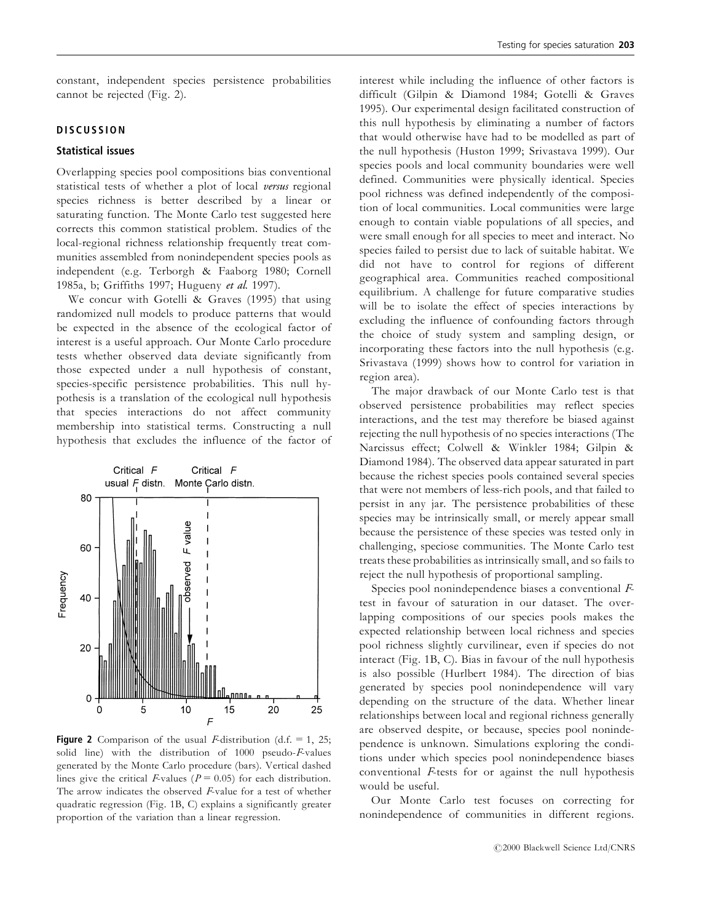constant, independent species persistence probabilities cannot be rejected (Fig. 2).

### **DISCUSSION**

#### **Statistical issues**

Overlapping species pool compositions bias conventional statistical tests of whether a plot of local versus regional species richness is better described by a linear or saturating function. The Monte Carlo test suggested here corrects this common statistical problem. Studies of the local-regional richness relationship frequently treat communities assembled from nonindependent species pools as independent (e.g. Terborgh & Faaborg 1980; Cornell 1985a, b; Griffiths 1997; Hugueny et al. 1997).

We concur with Gotelli & Graves (1995) that using randomized null models to produce patterns that would be expected in the absence of the ecological factor of interest is a useful approach. Our Monte Carlo procedure tests whether observed data deviate significantly from those expected under a null hypothesis of constant, species-specific persistence probabilities. This null hypothesis is a translation of the ecological null hypothesis that species interactions do not affect community membership into statistical terms. Constructing a null hypothesis that excludes the influence of the factor of



**Figure 2** Comparison of the usual *F*-distribution (d.f. = 1, 25; solid line) with the distribution of 1000 pseudo-F-values generated by the Monte Carlo procedure (bars). Vertical dashed lines give the critical *F*-values ( $P = 0.05$ ) for each distribution. The arrow indicates the observed *F*-value for a test of whether quadratic regression (Fig. 1B, C) explains a significantly greater proportion of the variation than a linear regression.

interest while including the influence of other factors is difficult (Gilpin & Diamond 1984; Gotelli & Graves 1995). Our experimental design facilitated construction of this null hypothesis by eliminating a number of factors that would otherwise have had to be modelled as part of the null hypothesis (Huston 1999; Srivastava 1999). Our species pools and local community boundaries were well defined. Communities were physically identical. Species pool richness was defined independently of the composition of local communities. Local communities were large enough to contain viable populations of all species, and were small enough for all species to meet and interact. No species failed to persist due to lack of suitable habitat. We did not have to control for regions of different geographical area. Communities reached compositional equilibrium. A challenge for future comparative studies will be to isolate the effect of species interactions by excluding the influence of confounding factors through the choice of study system and sampling design, or incorporating these factors into the null hypothesis (e.g. Srivastava (1999) shows how to control for variation in region area).

The major drawback of our Monte Carlo test is that observed persistence probabilities may reflect species interactions, and the test may therefore be biased against rejecting the null hypothesis of no species interactions (The Narcissus effect; Colwell & Winkler 1984; Gilpin & Diamond 1984). The observed data appear saturated in part because the richest species pools contained several species that were not members of less-rich pools, and that failed to persist in any jar. The persistence probabilities of these species may be intrinsically small, or merely appear small because the persistence of these species was tested only in challenging, speciose communities. The Monte Carlo test treats these probabilities as intrinsically small, and so fails to reject the null hypothesis of proportional sampling.

Species pool nonindependence biases a conventional Ftest in favour of saturation in our dataset. The overlapping compositions of our species pools makes the expected relationship between local richness and species pool richness slightly curvilinear, even if species do not interact (Fig. 1B, C). Bias in favour of the null hypothesis is also possible (Hurlbert 1984). The direction of bias generated by species pool nonindependence will vary depending on the structure of the data. Whether linear relationships between local and regional richness generally are observed despite, or because, species pool nonindependence is unknown. Simulations exploring the conditions under which species pool nonindependence biases conventional  $F$ -tests for or against the null hypothesis would be useful.

Our Monte Carlo test focuses on correcting for nonindependence of communities in different regions.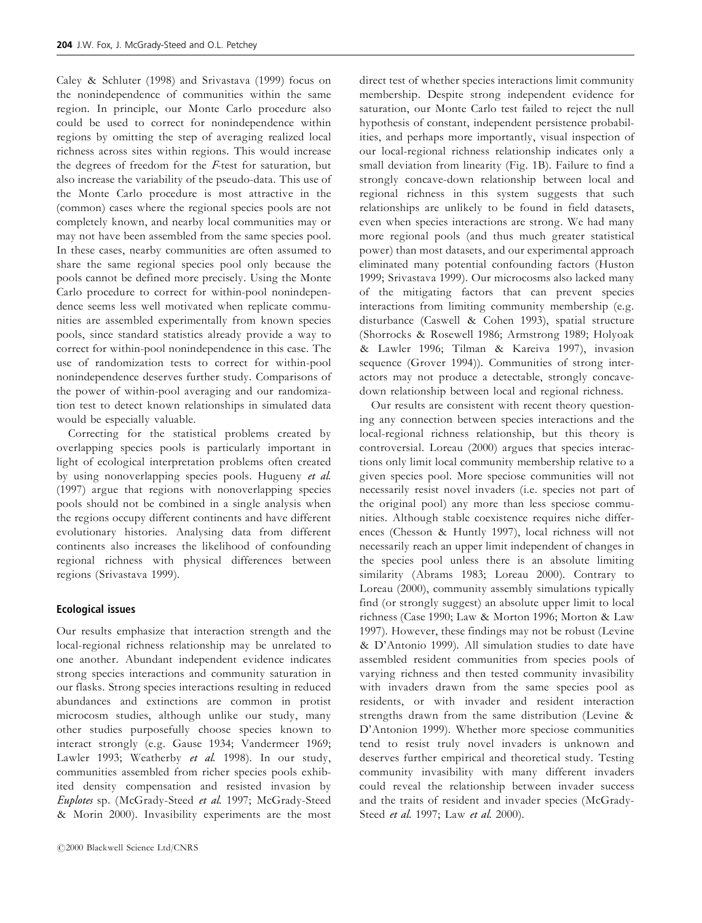Caley & Schluter (1998) and Srivastava (1999) focus on the nonindependence of communities within the same region. In principle, our Monte Carlo procedure also could be used to correct for nonindependence within regions by omitting the step of averaging realized local richness across sites within regions. This would increase the degrees of freedom for the F-test for saturation, but also increase the variability of the pseudo-data. This use of the Monte Carlo procedure is most attractive in the (common) cases where the regional species pools are not completely known, and nearby local communities may or may not have been assembled from the same species pool. In these cases, nearby communities are often assumed to share the same regional species pool only because the pools cannot be defined more precisely. Using the Monte Carlo procedure to correct for within-pool nonindependence seems less well motivated when replicate communities are assembled experimentally from known species pools, since standard statistics already provide a way to correct for within-pool nonindependence in this case. The use of randomization tests to correct for within-pool nonindependence deserves further study. Comparisons of the power of within-pool averaging and our randomization test to detect known relationships in simulated data would be especially valuable.

Correcting for the statistical problems created by overlapping species pools is particularly important in light of ecological interpretation problems often created by using nonoverlapping species pools. Hugueny et al. (1997) argue that regions with nonoverlapping species pools should not be combined in a single analysis when the regions occupy different continents and have different evolutionary histories. Analysing data from different continents also increases the likelihood of confounding regional richness with physical differences between regions (Srivastava 1999).

#### **Ecological issues**

Our results emphasize that interaction strength and the local-regional richness relationship may be unrelated to one another. Abundant independent evidence indicates strong species interactions and community saturation in our flasks. Strong species interactions resulting in reduced abundances and extinctions are common in protist microcosm studies, although unlike our study, many other studies purposefully choose species known to interact strongly (e.g. Gause 1934; Vandermeer 1969; Lawler 1993; Weatherby et al. 1998). In our study, communities assembled from richer species pools exhibited density compensation and resisted invasion by Euplotes sp. (McGrady-Steed et al. 1997; McGrady-Steed & Morin 2000). Invasibility experiments are the most

direct test of whether species interactions limit community membership. Despite strong independent evidence for saturation, our Monte Carlo test failed to reject the null hypothesis of constant, independent persistence probabilities, and perhaps more importantly, visual inspection of our local-regional richness relationship indicates only a small deviation from linearity (Fig. 1B). Failure to find a strongly concave-down relationship between local and regional richness in this system suggests that such relationships are unlikely to be found in field datasets, even when species interactions are strong. We had many more regional pools (and thus much greater statistical power) than most datasets, and our experimental approach eliminated many potential confounding factors (Huston 1999; Srivastava 1999). Our microcosms also lacked many of the mitigating factors that can prevent species interactions from limiting community membership (e.g. disturbance (Caswell & Cohen 1993), spatial structure (Shorrocks & Rosewell 1986; Armstrong 1989; Holyoak & Lawler 1996; Tilman & Kareiva 1997), invasion sequence (Grover 1994)). Communities of strong interactors may not produce a detectable, strongly concavedown relationship between local and regional richness.

Our results are consistent with recent theory questioning any connection between species interactions and the local-regional richness relationship, but this theory is controversial. Loreau (2000) argues that species interactions only limit local community membership relative to a given species pool. More speciose communities will not necessarily resist novel invaders (i.e. species not part of the original pool) any more than less speciose communities. Although stable coexistence requires niche differences (Chesson & Huntly 1997), local richness will not necessarily reach an upper limit independent of changes in the species pool unless there is an absolute limiting similarity (Abrams 1983; Loreau 2000). Contrary to Loreau (2000), community assembly simulations typically find (or strongly suggest) an absolute upper limit to local richness (Case 1990; Law & Morton 1996; Morton & Law 1997). However, these findings may not be robust (Levine & D'Antonio 1999). All simulation studies to date have assembled resident communities from species pools of varying richness and then tested community invasibility with invaders drawn from the same species pool as residents, or with invader and resident interaction strengths drawn from the same distribution (Levine & D'Antonion 1999). Whether more speciose communities tend to resist truly novel invaders is unknown and deserves further empirical and theoretical study. Testing community invasibility with many different invaders could reveal the relationship between invader success and the traits of resident and invader species (McGrady-Steed et al. 1997; Law et al. 2000).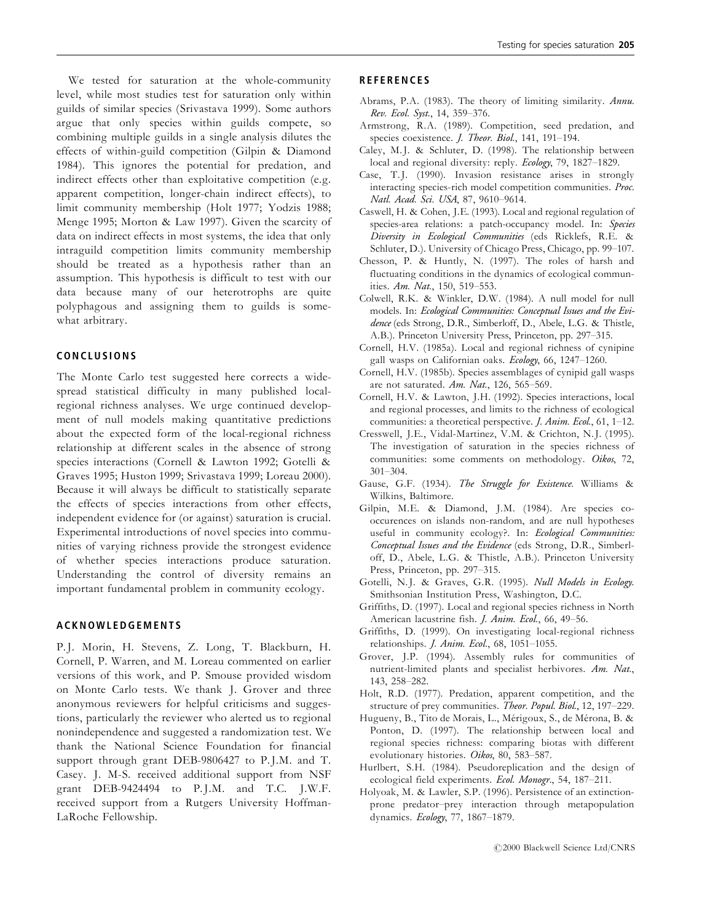We tested for saturation at the whole-community level, while most studies test for saturation only within guilds of similar species (Srivastava 1999). Some authors argue that only species within guilds compete, so combining multiple guilds in a single analysis dilutes the effects of within-guild competition (Gilpin & Diamond 1984). This ignores the potential for predation, and indirect effects other than exploitative competition (e.g. apparent competition, longer-chain indirect effects), to limit community membership (Holt 1977; Yodzis 1988; Menge 1995; Morton & Law 1997). Given the scarcity of data on indirect effects in most systems, the idea that only intraguild competition limits community membership should be treated as a hypothesis rather than an assumption. This hypothesis is difficult to test with our data because many of our heterotrophs are quite polyphagous and assigning them to guilds is somewhat arbitrary.

#### CONCLUSIONS

The Monte Carlo test suggested here corrects a widespread statistical difficulty in many published localregional richness analyses. We urge continued development of null models making quantitative predictions about the expected form of the local-regional richness relationship at different scales in the absence of strong species interactions (Cornell & Lawton 1992; Gotelli & Graves 1995; Huston 1999; Srivastava 1999; Loreau 2000). Because it will always be difficult to statistically separate the effects of species interactions from other effects, independent evidence for (or against) saturation is crucial. Experimental introductions of novel species into communities of varying richness provide the strongest evidence of whether species interactions produce saturation. Understanding the control of diversity remains an important fundamental problem in community ecology.

#### **ACKNOWLEDGEMENTS**

P.J. Morin, H. Stevens, Z. Long, T. Blackburn, H. Cornell, P. Warren, and M. Loreau commented on earlier versions of this work, and P. Smouse provided wisdom on Monte Carlo tests. We thank J. Grover and three anonymous reviewers for helpful criticisms and suggestions, particularly the reviewer who alerted us to regional nonindependence and suggested a randomization test. We thank the National Science Foundation for financial support through grant DEB-9806427 to P.J.M. and T. Casey. J. M-S. received additional support from NSF grant DEB-9424494 to P.J.M. and T.C. J.W.F. received support from a Rutgers University Hoffman-LaRoche Fellowship.

### **REFERENCES**

- Abrams, P.A. (1983). The theory of limiting similarity. Annu. Rev. Ecol. Syst., 14, 359-376.
- Armstrong, R.A. (1989). Competition, seed predation, and species coexistence. *J. Theor. Biol.*, 141, 191-194.
- Caley, M.J. & Schluter, D. (1998). The relationship between local and regional diversity: reply. *Ecology*, 79, 1827–1829.
- Case, T.J. (1990). Invasion resistance arises in strongly interacting species-rich model competition communities. Proc. Natl. Acad. Sci. USA, 87, 9610-9614.
- Caswell, H. & Cohen, J.E. (1993). Local and regional regulation of species-area relations: a patch-occupancy model. In: Species Diversity in Ecological Communities (eds Ricklefs, R.E. & Schluter, D.). University of Chicago Press, Chicago, pp. 99–107.
- Chesson, P. & Huntly, N. (1997). The roles of harsh and fluctuating conditions in the dynamics of ecological communities. Am. Nat., 150, 519-553.
- Colwell, R.K. & Winkler, D.W. (1984). A null model for null models. In: Ecological Communities: Conceptual Issues and the Evidence (eds Strong, D.R., Simberloff, D., Abele, L.G. & Thistle, A.B.). Princeton University Press, Princeton, pp. 297-315.
- Cornell, H.V. (1985a). Local and regional richness of cynipine gall wasps on Californian oaks. Ecology, 66, 1247-1260.
- Cornell, H.V. (1985b). Species assemblages of cynipid gall wasps are not saturated. Am. Nat., 126, 565-569.
- Cornell, H.V. & Lawton, J.H. (1992). Species interactions, local and regional processes, and limits to the richness of ecological communities: a theoretical perspective. *J. Anim. Ecol.*, 61, 1-12.
- Cresswell, J.E., Vidal-Martinez, V.M. & Crichton, N.J. (1995). The investigation of saturation in the species richness of communities: some comments on methodology. Oikos, 72,  $301 - 304$ .
- Gause, G.F. (1934). The Struggle for Existence. Williams & Wilkins, Baltimore.
- Gilpin, M.E. & Diamond, J.M. (1984). Are species cooccurences on islands non-random, and are null hypotheses useful in community ecology?. In: Ecological Communities: Conceptual Issues and the Evidence (eds Strong, D.R., Simberloff, D., Abele, L.G. & Thistle, A.B.). Princeton University Press, Princeton, pp. 297-315.
- Gotelli, N.J. & Graves, G.R. (1995). Null Models in Ecology. Smithsonian Institution Press, Washington, D.C.
- Griffiths, D. (1997). Local and regional species richness in North American lacustrine fish. J. Anim. Ecol., 66, 49-56.
- Griffiths, D. (1999). On investigating local-regional richness relationships. *J. Anim. Ecol.*, 68, 1051-1055.
- Grover, J.P. (1994). Assembly rules for communities of nutrient-limited plants and specialist herbivores. Am. Nat., 143, 258-282.
- Holt, R.D. (1977). Predation, apparent competition, and the structure of prey communities. Theor. Popul. Biol., 12, 197-229.
- Hugueny, B., Tito de Morais, L., Mérigoux, S., de Mérona, B. & Ponton, D. (1997). The relationship between local and regional species richness: comparing biotas with different evolutionary histories. Oikos, 80, 583-587.
- Hurlbert, S.H. (1984). Pseudoreplication and the design of ecological field experiments. Ecol. Monogr., 54, 187-211.
- Holyoak, M. & Lawler, S.P. (1996). Persistence of an extinctionprone predator-prey interaction through metapopulation dynamics. Ecology, 77, 1867-1879.